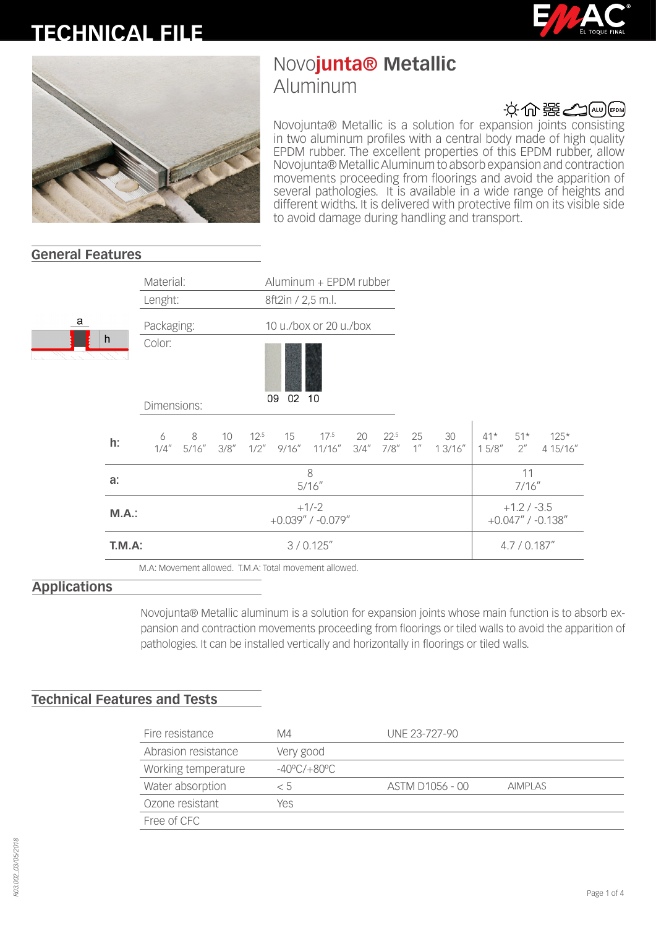# **TECHNICAL FILE**





## Novo**junta® Metallic** Aluminum

☆命器△10km/

Novojunta® Metallic is a solution for expansion joints consisting in two aluminum profiles with a central body made of high quality EPDM rubber. The excellent properties of this EPDM rubber, allow Novojunta® Metallic Aluminum to absorb expansion and contraction movements proceeding from floorings and avoid the apparition of several pathologies. It is available in a wide range of heights and different widths. It is delivered with protective film on its visible side to avoid damage during handling and transport.

#### **General Features**

|   |        | Material:                          |             |                   | Aluminum + EPDM rubber |              |                                                       |             |                    |                          |                                          |                |                             |                    |
|---|--------|------------------------------------|-------------|-------------------|------------------------|--------------|-------------------------------------------------------|-------------|--------------------|--------------------------|------------------------------------------|----------------|-----------------------------|--------------------|
|   |        | Lenght:                            |             | 8ft2in / 2,5 m.l. |                        |              |                                                       |             |                    |                          |                                          |                |                             |                    |
| a |        | Packaging:                         |             |                   | 10 u./box or 20 u./box |              |                                                       |             |                    |                          |                                          |                |                             |                    |
|   | h      | Color:<br>Dimensions:              |             |                   | 02 10<br>09            |              |                                                       |             |                    |                          |                                          |                |                             |                    |
|   | h:     | 6<br>$1/4$ "                       | 8<br>5/16'' | 10<br>3/8''       | $12^{.5}$<br>1/2"      | 15<br>9/16'' | $17^{.5}$<br>11/16''                                  | 20<br>3/4'' | $22^{.5}$<br>7/8'' | 25<br>$1^{\prime\prime}$ | 30<br>13/16''                            | $41*$<br>15/8" | $51*$<br>$2^{\prime\prime}$ | $125*$<br>4 15/16" |
|   | a:     | 8<br>5/16''                        |             |                   |                        |              |                                                       |             |                    | 11<br>7/16''             |                                          |                |                             |                    |
|   | M.A.:  | $+1/-2$<br>$+0.039''$ / $-0.079''$ |             |                   |                        |              |                                                       |             |                    |                          | $+1.2 / -3.5$<br>$+0.047''$ / $-0.138''$ |                |                             |                    |
|   | T.M.A: | 3/0.125''                          |             |                   |                        |              |                                                       |             |                    | 4.7 / 0.187''            |                                          |                |                             |                    |
|   |        |                                    |             |                   |                        |              | M.A: Movement allowed. T.M.A: Total movement allowed. |             |                    |                          |                                          |                |                             |                    |

#### **Applications**

Novojunta® Metallic aluminum is a solution for expansion joints whose main function is to absorb expansion and contraction movements proceeding from floorings or tiled walls to avoid the apparition of pathologies. It can be installed vertically and horizontally in floorings or tiled walls.

#### **Technical Features and Tests**

| Fire resistance     | M4                               | UNE 23-727-90   |                |
|---------------------|----------------------------------|-----------------|----------------|
| Abrasion resistance | Very good                        |                 |                |
| Working temperature | $-40^{\circ}$ C/ $+80^{\circ}$ C |                 |                |
| Water absorption    | < 5                              | ASTM D1056 - 00 | <b>AIMPLAS</b> |
| Ozone resistant     | Yes                              |                 |                |
| Free of CFC         |                                  |                 |                |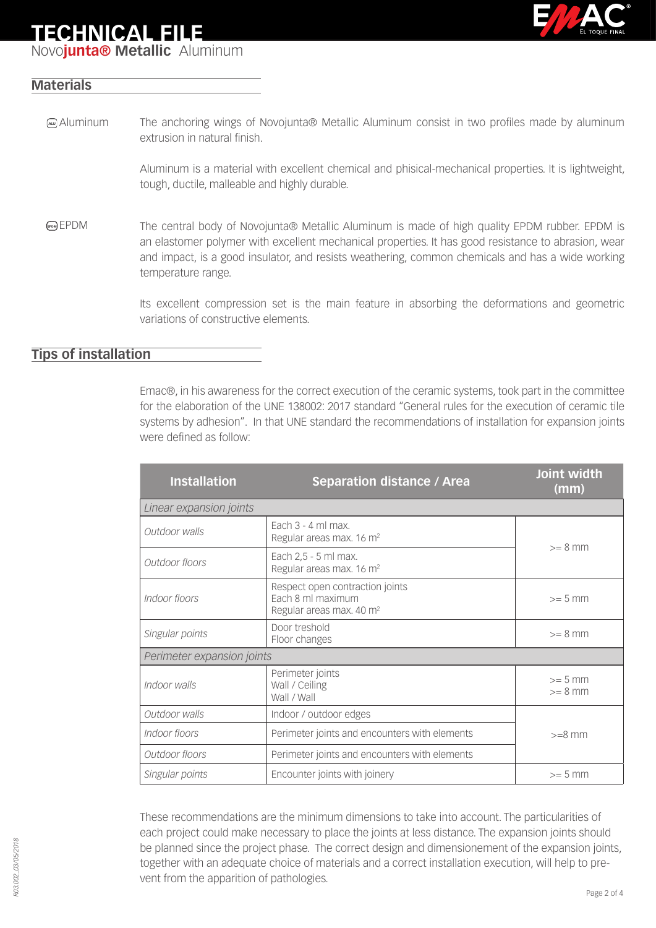# **TECHNICAL FILE**

Novo**junta® Metallic** Aluminum



#### **Materials**

#### The anchoring wings of Novojunta® Metallic Aluminum consist in two profiles made by aluminum extrusion in natural finish. Aluminum

Aluminum is a material with excellent chemical and phisical-mechanical properties. It is lightweight, tough, ductile, malleable and highly durable.

EPDM The central body of Novojunta® Metallic Aluminum is made of high quality EPDM rubber. EPDM is an elastomer polymer with excellent mechanical properties. It has good resistance to abrasion, wear and impact, is a good insulator, and resists weathering, common chemicals and has a wide working temperature range.

> Its excellent compression set is the main feature in absorbing the deformations and geometric variations of constructive elements.

#### **Tips of installation**

Emac®, in his awareness for the correct execution of the ceramic systems, took part in the committee for the elaboration of the UNE 138002: 2017 standard "General rules for the execution of ceramic tile systems by adhesion". In that UNE standard the recommendations of installation for expansion joints were defined as follow:

| <b>Installation</b>        | <b>Separation distance / Area</b>                                                            | Joint width<br>(mm)    |  |  |  |
|----------------------------|----------------------------------------------------------------------------------------------|------------------------|--|--|--|
| Linear expansion joints    |                                                                                              |                        |  |  |  |
| Outdoor walls              | Fach $3 - 4$ ml max.<br>Regular areas max. 16 m <sup>2</sup>                                 | $>= 8$ mm              |  |  |  |
| Outdoor floors             | Each 2,5 - 5 ml max.<br>Regular areas max. 16 m <sup>2</sup>                                 |                        |  |  |  |
| Indoor floors              | Respect open contraction joints<br>Each 8 ml maximum<br>Regular areas max. 40 m <sup>2</sup> |                        |  |  |  |
| Singular points            | Door treshold<br>Floor changes                                                               | $>= 8$ mm              |  |  |  |
| Perimeter expansion joints |                                                                                              |                        |  |  |  |
| Indoor walls               | Perimeter joints<br>Wall / Ceiling<br>Wall / Wall                                            | $>= 5$ mm<br>$>= 8$ mm |  |  |  |
| Outdoor walls              | Indoor / outdoor edges                                                                       |                        |  |  |  |
| Indoor floors              | Perimeter joints and encounters with elements                                                | $>=8$ mm               |  |  |  |
| Outdoor floors             | Perimeter joints and encounters with elements                                                |                        |  |  |  |
| Singular points            | Encounter joints with joinery                                                                | $>= 5$ mm              |  |  |  |

These recommendations are the minimum dimensions to take into account. The particularities of each project could make necessary to place the joints at less distance. The expansion joints should be planned since the project phase. The correct design and dimensionement of the expansion joints, together with an adequate choice of materials and a correct installation execution, will help to prevent from the apparition of pathologies.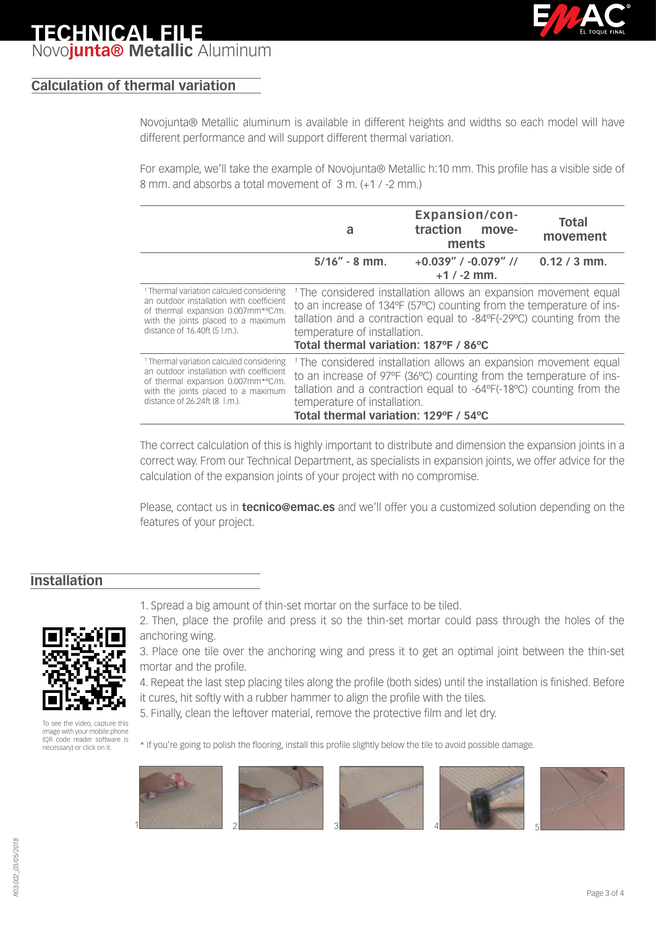### **TECHNICAL FILE** Novo**junta® Metallic** Aluminum

### **Calculation of thermal variation**

Novojunta® Metallic aluminum is available in different heights and widths so each model will have different performance and will support different thermal variation.

For example, we'll take the example of Novojunta® Metallic h:10 mm. This profile has a visible side of 8 mm. and absorbs a total movement of 3 m. (+1 / -2 mm.)

|                                                     | а                                                                                   | <b>Expansion/con-</b><br>traction<br>move-<br>ments | <b>Total</b><br>movement |  |  |  |
|-----------------------------------------------------|-------------------------------------------------------------------------------------|-----------------------------------------------------|--------------------------|--|--|--|
|                                                     | $5/16'' - 8$ mm.                                                                    | $+0.039''$ / $-0.079''$ //<br>$+1/ -2$ mm.          | $0.12 / 3$ mm.           |  |  |  |
| <sup>1</sup> Thermal variation calculed considering | <sup>1</sup> The considered installation allows an expansion movement equal         |                                                     |                          |  |  |  |
| an outdoor installation with coefficient            | to an increase of 134°F (57°C) counting from the temperature of ins-                |                                                     |                          |  |  |  |
| of thermal expansion 0.007mm*°C/m.                  | tallation and a contraction equal to -84°F(-29°C) counting from the                 |                                                     |                          |  |  |  |
| with the joints placed to a maximum                 | temperature of installation.                                                        |                                                     |                          |  |  |  |
| distance of 16.40ft (5 l.m.).                       | Total thermal variation: 187°F / 86°C                                               |                                                     |                          |  |  |  |
| <sup>1</sup> Thermal variation calculed considering | <sup>1</sup> The considered installation allows an expansion movement equal         |                                                     |                          |  |  |  |
| an outdoor installation with coefficient            | to an increase of 97°F (36°C) counting from the temperature of ins-                 |                                                     |                          |  |  |  |
| of thermal expansion 0.007mm*°C/m.                  | tallation and a contraction equal to $-64^{\circ}F(-18^{\circ}C)$ counting from the |                                                     |                          |  |  |  |
| with the joints placed to a maximum                 | temperature of installation.                                                        |                                                     |                          |  |  |  |
| distance of 26.24ft (8 l.m.).                       | Total thermal variation: 129°F / 54°C                                               |                                                     |                          |  |  |  |

The correct calculation of this is highly important to distribute and dimension the expansion joints in a correct way. From our Technical Department, as specialists in expansion joints, we offer advice for the calculation of the expansion joints of your project with no compromise.

Please, contact us in **tecnico@emac.es** and we'll offer you a customized solution depending on the features of your project.

#### **Installation**



image with your mobile phone (QR code reader software is necessary) or click on it.

1. Spread a big amount of thin-set mortar on the surface to be tiled.

2. Then, place the profile and press it so the thin-set mortar could pass through the holes of the anchoring wing.

3. Place one tile over the anchoring wing and press it to get an optimal joint between the thin-set mortar and the profile.

4. Repeat the last step placing tiles along the profile (both sides) until the installation is finished. Before it cures, hit softly with a rubber hammer to align the profile with the tiles.

5. Finally, clean the leftover material, remove the protective film and let dry.

\* If you're going to polish the flooring, install this profile slightly below the tile to avoid possible damage.